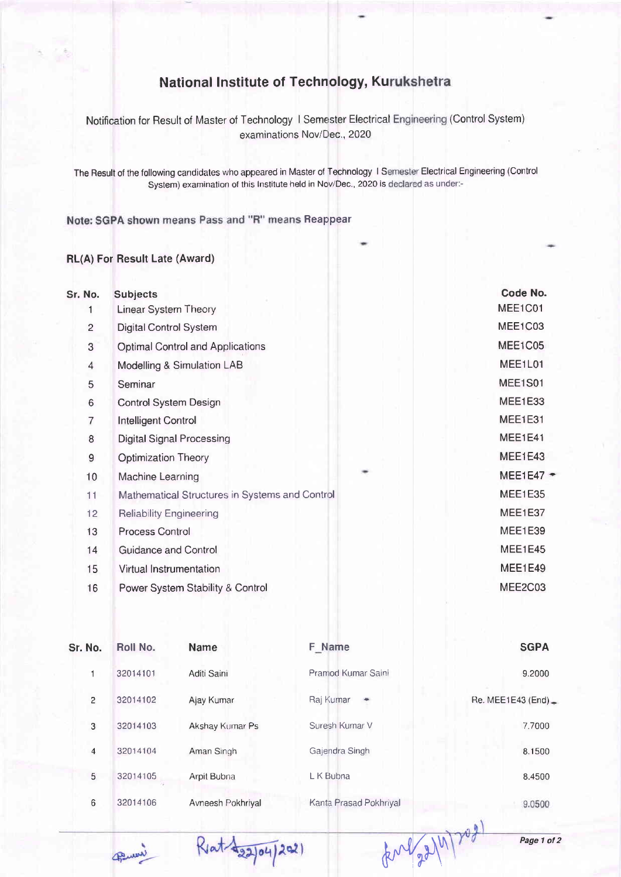## **National Institute of Technology, Kurukshetra**

Notification for Result of Master of Technology I Semester Electrical Engineering (Control System examinations Nov/Dec., 2020

The Result of the following candidates who appeared in Master of Technology 1 Semester Electrical Engineering (Control System) examination of this Institute held in Nov/Dec., 2020 is declared as under:-

Note: SGPA shown means Pass and "R" means Reappear

## RL(A) For Result Late (Award)

| Sr. No.        | <b>Subjects</b>                                |         | Code No.              |
|----------------|------------------------------------------------|---------|-----------------------|
| 1              | <b>Linear System Theory</b>                    |         | MEE1C01               |
| 2              | Digital Control System                         |         | MEE1C03               |
| $\sqrt{3}$     | Optimal Control and Applications               |         | MEE1C05               |
| $\overline{4}$ | Modelling & Simulation LAB                     |         | MEE1L01               |
| 5              | Seminar                                        |         | MEE1S01               |
| $\sqrt{6}$     | Control System Design                          |         | MEE1E33               |
| $\overline{7}$ | <b>Intelligent Control</b>                     |         | <b>MEE1E31</b>        |
| 8              | <b>Digital Signal Processing</b>               |         | MEE1E41               |
| $\mathsf 9$    | <b>Optimization Theory</b>                     |         | MEE1E43               |
| 10             | Machine Learning                               |         | MEE1E47 $\rightarrow$ |
| 11             | Mathematical Structures in Systems and Control | MEE1E35 |                       |
| 12             | <b>Reliability Engineering</b>                 |         | MEE1E37               |
| 13             | <b>Process Control</b>                         |         | MEE1E39               |
| 14             | Guidance and Control                           |         | MEE1E45               |
| 15             | Virtual Instrumentation                        |         | MEE1E49               |
| 16             | Power System Stability & Control               |         | MEE2C03               |
|                |                                                |         |                       |

| Sr. No.        | Roll No. | <b>Name</b>       | F Name                 | <b>SGPA</b>           |
|----------------|----------|-------------------|------------------------|-----------------------|
|                | 32014101 | Aditi Saini       | Pramod Kumar Saini     | 9.2000                |
| $\overline{c}$ | 32014102 | Ajay Kumar        | Raj Kumar              | Re. MEE1E43 (End) $=$ |
| 3              | 32014103 | Akshay Kumar Ps   | Suresh Kumar V         | 7.7000                |
| 4              | 32014104 | Aman Singh        | Gajendra Singh         | 8.1500                |
| 5              | 32014105 | Arpit Bubna       | L K Bubna              | 8.4500                |
| 6              | 32014106 | Avneesh Pokhriyal | Kanta Prasad Pokhriyal | 9.0500                |

Penni

Rent 422/04/2021

 $tan\left(\frac{2}{3}\right)/n\right)+cos\left(\frac{2}{3}\right)$